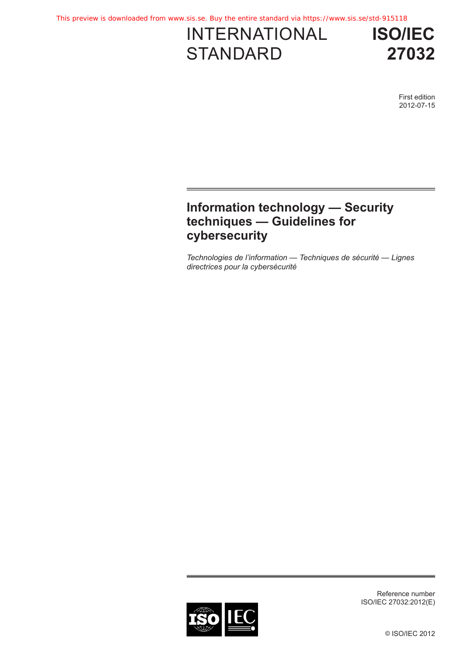# INTERNATIONAL **STANDARD**

**ISO/IEC 27032**

> First edition 2012-07-15

## **Information technology — Security techniques — Guidelines for cybersecurity**

*Technologies de l'information — Techniques de sécurité — Lignes directrices pour la cybersécurité*



Reference number ISO/IEC 27032:2012(E)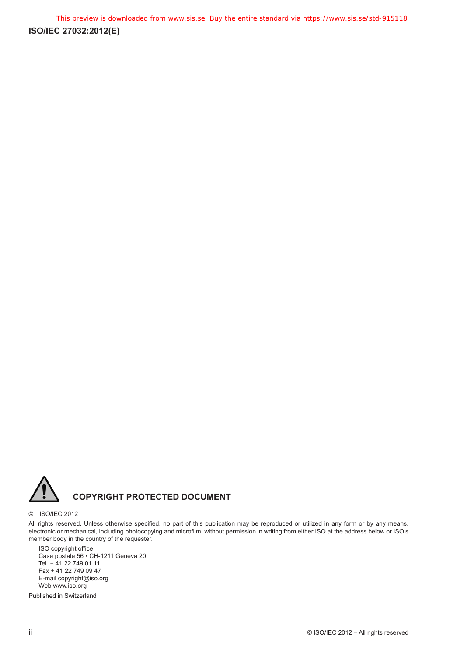

#### © ISO/IEC 2012

All rights reserved. Unless otherwise specified, no part of this publication may be reproduced or utilized in any form or by any means, electronic or mechanical, including photocopying and microfilm, without permission in writing from either ISO at the address below or ISO's member body in the country of the requester.

ISO copyright office Case postale 56 • CH-1211 Geneva 20 Tel. + 41 22 749 01 11 Fax + 41 22 749 09 47 E-mail copyright@iso.org Web www.iso.org

Published in Switzerland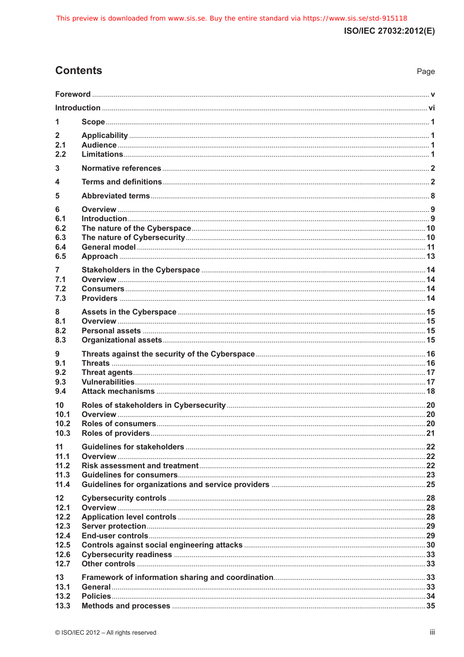## **Contents**

| 1                                       |  |
|-----------------------------------------|--|
| $\mathbf{2}$<br>2.1<br>2.2              |  |
| 3                                       |  |
| 4                                       |  |
| 5                                       |  |
| 6<br>6.1<br>6.2<br>6.3<br>6.4<br>6.5    |  |
| $\overline{7}$<br>7.1<br>7.2<br>7.3     |  |
| 8<br>8.1<br>8.2<br>8.3                  |  |
| 9<br>9.1<br>9.2<br>9.3<br>9.4           |  |
| 10<br>10.1<br>10.2<br>10.3              |  |
| 11<br>11.1<br>11.2<br>11.3<br>11.4      |  |
| 12 <sup>2</sup><br>12.1<br>12.2<br>12.3 |  |
| 12.4<br>12.5<br>12.6<br>12.7            |  |
| 13<br>13.1<br>13.2<br>13.3              |  |

Page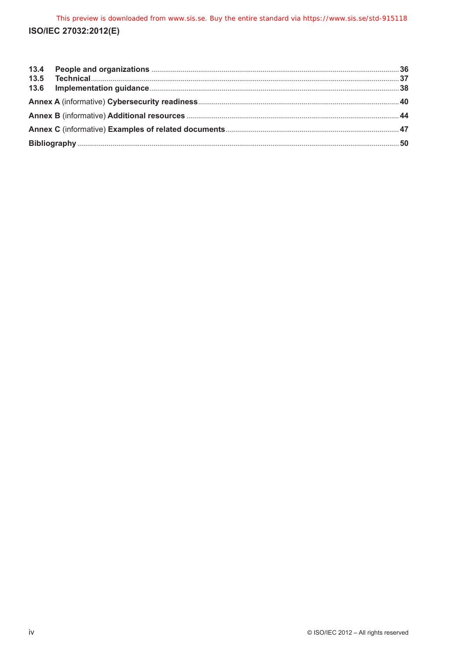| 13.5 |  |
|------|--|
|      |  |
|      |  |
|      |  |
|      |  |
|      |  |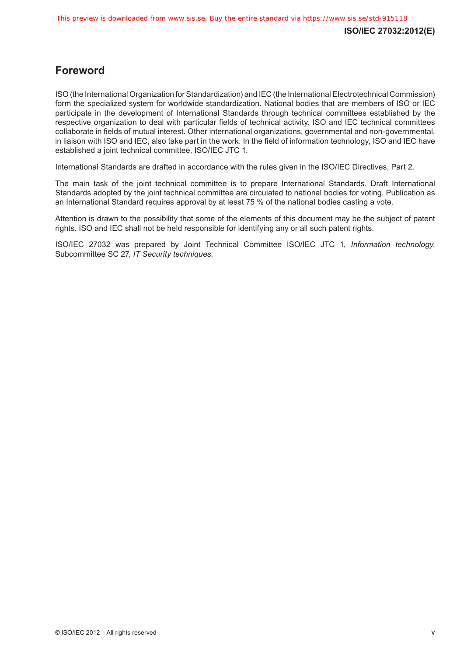## <span id="page-4-0"></span>**Foreword**

ISO (the International Organization for Standardization) and IEC (the International Electrotechnical Commission) form the specialized system for worldwide standardization. National bodies that are members of ISO or IEC participate in the development of International Standards through technical committees established by the respective organization to deal with particular fields of technical activity. ISO and IEC technical committees collaborate in fields of mutual interest. Other international organizations, governmental and non-governmental, in liaison with ISO and IEC, also take part in the work. In the field of information technology, ISO and IEC have established a joint technical committee, ISO/IEC JTC 1.

International Standards are drafted in accordance with the rules given in the ISO/IEC Directives, Part 2.

The main task of the joint technical committee is to prepare International Standards. Draft International Standards adopted by the joint technical committee are circulated to national bodies for voting. Publication as an International Standard requires approval by at least 75 % of the national bodies casting a vote.

Attention is drawn to the possibility that some of the elements of this document may be the subject of patent rights. ISO and IEC shall not be held responsible for identifying any or all such patent rights.

ISO/IEC 27032 was prepared by Joint Technical Committee ISO/IEC JTC 1, *Information technology*, Subcommittee SC 27, *IT Security techniques*.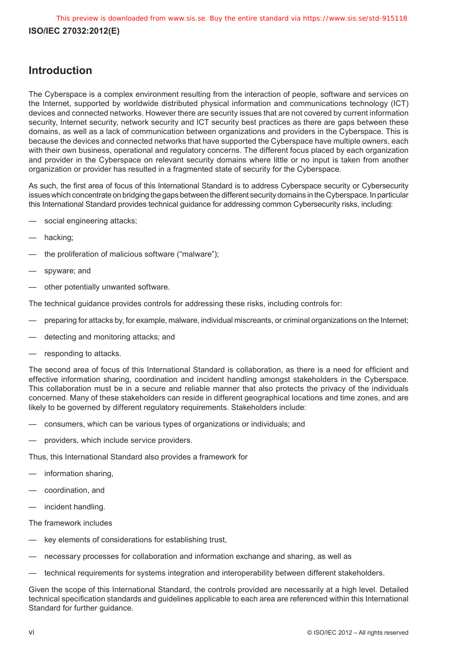## <span id="page-5-0"></span>**Introduction**

The Cyberspace is a complex environment resulting from the interaction of people, software and services on the Internet, supported by worldwide distributed physical information and communications technology (ICT) devices and connected networks. However there are security issues that are not covered by current information security, Internet security, network security and ICT security best practices as there are gaps between these domains, as well as a lack of communication between organizations and providers in the Cyberspace. This is because the devices and connected networks that have supported the Cyberspace have multiple owners, each with their own business, operational and regulatory concerns. The different focus placed by each organization and provider in the Cyberspace on relevant security domains where little or no input is taken from another organization or provider has resulted in a fragmented state of security for the Cyberspace.

As such, the first area of focus of this International Standard is to address Cyberspace security or Cybersecurity issues which concentrate on bridging the gaps between the different security domains in the Cyberspace. In particular this International Standard provides technical guidance for addressing common Cybersecurity risks, including:

- social engineering attacks:
- hacking;
- the proliferation of malicious software ("malware");
- spyware; and
- other potentially unwanted software.

The technical guidance provides controls for addressing these risks, including controls for:

- preparing for attacks by, for example, malware, individual miscreants, or criminal organizations on the Internet;
- detecting and monitoring attacks; and
- responding to attacks.

The second area of focus of this International Standard is collaboration, as there is a need for efficient and effective information sharing, coordination and incident handling amongst stakeholders in the Cyberspace. This collaboration must be in a secure and reliable manner that also protects the privacy of the individuals concerned. Many of these stakeholders can reside in different geographical locations and time zones, and are likely to be governed by different regulatory requirements. Stakeholders include:

- consumers, which can be various types of organizations or individuals; and
- providers, which include service providers.

Thus, this International Standard also provides a framework for

- information sharing,
- coordination, and
- incident handling.

The framework includes

- key elements of considerations for establishing trust,
- necessary processes for collaboration and information exchange and sharing, as well as
- technical requirements for systems integration and interoperability between different stakeholders.

Given the scope of this International Standard, the controls provided are necessarily at a high level. Detailed technical specification standards and guidelines applicable to each area are referenced within this International Standard for further guidance.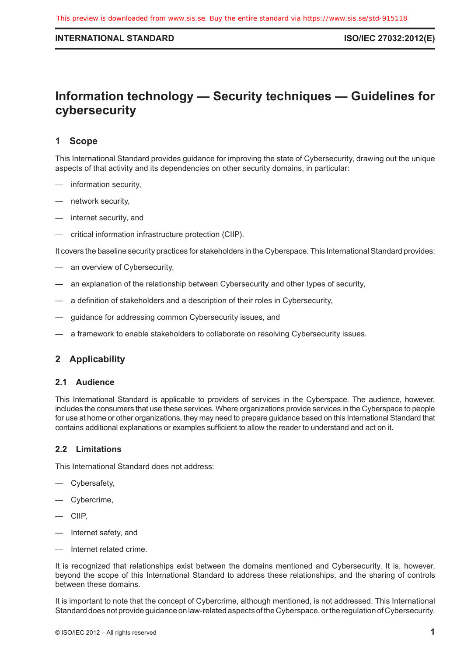#### <span id="page-6-0"></span>**INTERNATIONAL STANDARD ISO/IEC 27032:2012(E)**

## **Information technology — Security techniques — Guidelines for cybersecurity**

## **1 Scope**

This International Standard provides guidance for improving the state of Cybersecurity, drawing out the unique aspects of that activity and its dependencies on other security domains, in particular:

- information security,
- network security,
- internet security, and
- critical information infrastructure protection (CIIP).

It covers the baseline security practices for stakeholders in the Cyberspace. This International Standard provides:

- an overview of Cybersecurity,
- an explanation of the relationship between Cybersecurity and other types of security,
- a definition of stakeholders and a description of their roles in Cybersecurity,
- guidance for addressing common Cybersecurity issues, and
- a framework to enable stakeholders to collaborate on resolving Cybersecurity issues.

## **2 Applicability**

#### **2.1 Audience**

This International Standard is applicable to providers of services in the Cyberspace. The audience, however, includes the consumers that use these services. Where organizations provide services in the Cyberspace to people for use at home or other organizations, they may need to prepare guidance based on this International Standard that contains additional explanations or examples sufficient to allow the reader to understand and act on it.

#### **2.2 Limitations**

This International Standard does not address:

- Cybersafety,
- Cybercrime,
- CIIP,
- Internet safety, and
- Internet related crime.

It is recognized that relationships exist between the domains mentioned and Cybersecurity. It is, however, beyond the scope of this International Standard to address these relationships, and the sharing of controls between these domains.

It is important to note that the concept of Cybercrime, although mentioned, is not addressed. This International Standard does not provide guidance on law-related aspects of the Cyberspace, or the regulation of Cybersecurity.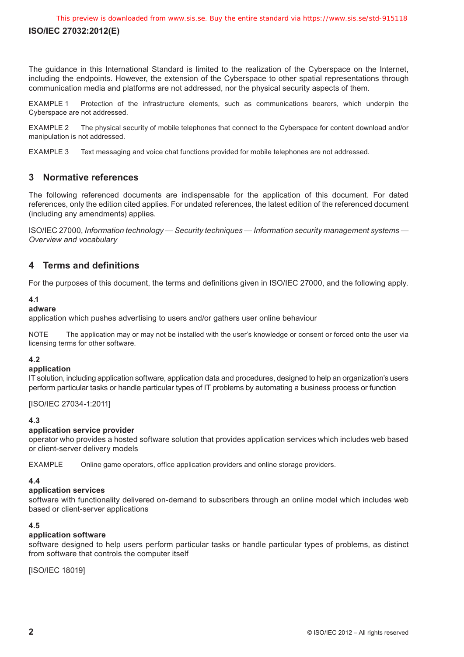<span id="page-7-0"></span>The guidance in this International Standard is limited to the realization of the Cyberspace on the Internet, including the endpoints. However, the extension of the Cyberspace to other spatial representations through communication media and platforms are not addressed, nor the physical security aspects of them.

EXAMPLE 1 Protection of the infrastructure elements, such as communications bearers, which underpin the Cyberspace are not addressed.

EXAMPLE 2 The physical security of mobile telephones that connect to the Cyberspace for content download and/or manipulation is not addressed.

EXAMPLE 3 Text messaging and voice chat functions provided for mobile telephones are not addressed.

## **3 Normative references**

The following referenced documents are indispensable for the application of this document. For dated references, only the edition cited applies. For undated references, the latest edition of the referenced document (including any amendments) applies.

ISO/IEC 27000, *Information technology — Security techniques — Information security management systems — Overview and vocabulary*

## **4 Terms and definitions**

For the purposes of this document, the terms and definitions given in ISO/IEC 27000, and the following apply.

## **4.1**

## **adware**

application which pushes advertising to users and/or gathers user online behaviour

NOTE The application may or may not be installed with the user's knowledge or consent or forced onto the user via licensing terms for other software.

## **4.2**

#### **application**

IT solution, including application software, application data and procedures, designed to help an organization's users perform particular tasks or handle particular types of IT problems by automating a business process or function

[ISO/IEC 27034-1:2011]

## **4.3**

## **application service provider**

operator who provides a hosted software solution that provides application services which includes web based or client-server delivery models

EXAMPLE Online game operators, office application providers and online storage providers.

## **4.4**

## **application services**

software with functionality delivered on-demand to subscribers through an online model which includes web based or client-server applications

#### **4.5**

## **application software**

software designed to help users perform particular tasks or handle particular types of problems, as distinct from software that controls the computer itself

[ISO/IEC 18019]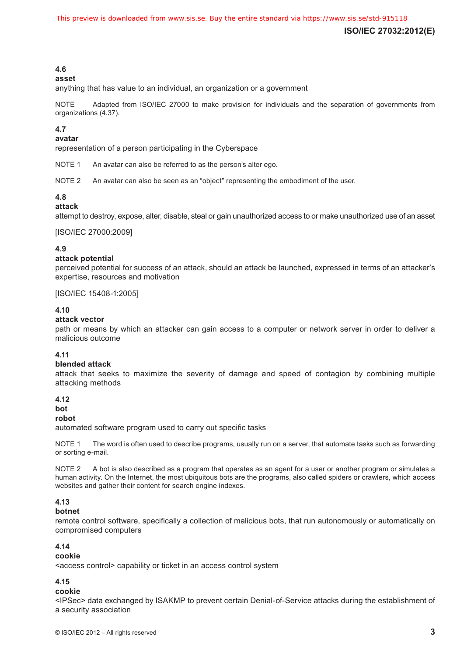## **4.6**

#### **asset**

anything that has value to an individual, an organization or a government

NOTE Adapted from ISO/IEC 27000 to make provision for individuals and the separation of governments from organizations (4.37).

#### **4.7**

#### **avatar**

representation of a person participating in the Cyberspace

NOTE 1 An avatar can also be referred to as the person's alter ego.

NOTE 2 An avatar can also be seen as an "object" representing the embodiment of the user.

#### **4.8**

#### **attack**

attempt to destroy, expose, alter, disable, steal or gain unauthorized access to or make unauthorized use of an asset

[ISO/IEC 27000:2009]

#### **4.9**

#### **attack potential**

perceived potential for success of an attack, should an attack be launched, expressed in terms of an attacker's expertise, resources and motivation

[ISO/IEC 15408-1:2005]

#### **4.10**

#### **attack vector**

path or means by which an attacker can gain access to a computer or network server in order to deliver a malicious outcome

#### **4.11**

#### **blended attack**

attack that seeks to maximize the severity of damage and speed of contagion by combining multiple attacking methods

#### **4.12**

#### **bot**

#### **robot**

automated software program used to carry out specific tasks

NOTE 1 The word is often used to describe programs, usually run on a server, that automate tasks such as forwarding or sorting e-mail.

NOTE 2 A bot is also described as a program that operates as an agent for a user or another program or simulates a human activity. On the Internet, the most ubiquitous bots are the programs, also called spiders or crawlers, which access websites and gather their content for search engine indexes.

#### **4.13**

#### **botnet**

remote control software, specifically a collection of malicious bots, that run autonomously or automatically on compromised computers

### **4.14**

#### **cookie**

<access control> capability or ticket in an access control system

#### **4.15**

#### **cookie**

<IPSec> data exchanged by ISAKMP to prevent certain Denial-of-Service attacks during the establishment of a security association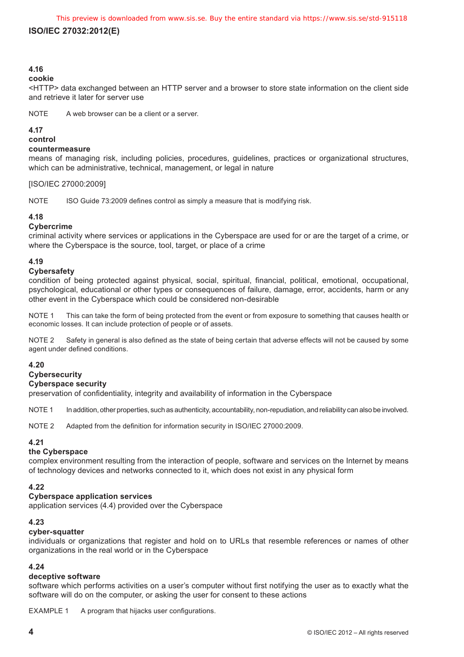## **4.16**

#### **cookie**

<HTTP> data exchanged between an HTTP server and a browser to store state information on the client side and retrieve it later for server use

NOTE A web browser can be a client or a server.

#### **4.17**

**control**

#### **countermeasure**

means of managing risk, including policies, procedures, guidelines, practices or organizational structures, which can be administrative, technical, management, or legal in nature

#### [ISO/IEC 27000:2009]

NOTE ISO Guide 73:2009 defines control as simply a measure that is modifying risk.

#### **4.18**

#### **Cybercrime**

criminal activity where services or applications in the Cyberspace are used for or are the target of a crime, or where the Cyberspace is the source, tool, target, or place of a crime

## **4.19**

#### **Cybersafety**

condition of being protected against physical, social, spiritual, financial, political, emotional, occupational, psychological, educational or other types or consequences of failure, damage, error, accidents, harm or any other event in the Cyberspace which could be considered non-desirable

NOTE 1 This can take the form of being protected from the event or from exposure to something that causes health or economic losses. It can include protection of people or of assets.

NOTE 2 Safety in general is also defined as the state of being certain that adverse effects will not be caused by some agent under defined conditions.

#### **4.20**

#### **Cybersecurity**

#### **Cyberspace security**

preservation of confidentiality, integrity and availability of information in the Cyberspace

NOTE 1 In addition, other properties, such as authenticity, accountability, non-repudiation, and reliability can also be involved.

NOTE 2 Adapted from the definition for information security in ISO/IEC 27000:2009.

## **4.21**

## **the Cyberspace**

complex environment resulting from the interaction of people, software and services on the Internet by means of technology devices and networks connected to it, which does not exist in any physical form

#### **4.22**

#### **Cyberspace application services**

application services (4.4) provided over the Cyberspace

## **4.23**

## **cyber-squatter**

individuals or organizations that register and hold on to URLs that resemble references or names of other organizations in the real world or in the Cyberspace

#### **4.24**

#### **deceptive software**

software which performs activities on a user's computer without first notifying the user as to exactly what the software will do on the computer, or asking the user for consent to these actions

EXAMPLE 1 A program that hijacks user configurations.